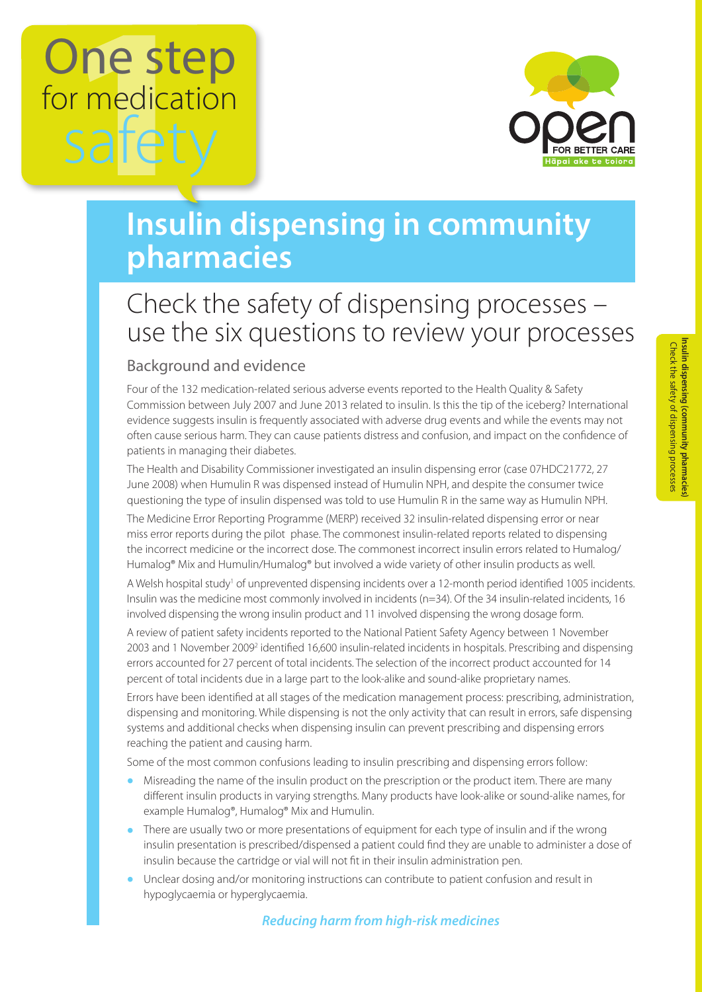# One step for medication safet



## **Insulin dispensing in community pharmacies**

### Check the safety of dispensing processes – use the six questions to review your processes

#### Background and evidence

Four of the 132 medication-related serious adverse events reported to the Health Quality & Safety Commission between July 2007 and June 2013 related to insulin. Is this the tip of the iceberg? International evidence suggests insulin is frequently associated with adverse drug events and while the events may not often cause serious harm. They can cause patients distress and confusion, and impact on the confidence of patients in managing their diabetes.

The Health and Disability Commissioner investigated an insulin dispensing error (case 07HDC21772, 27 June 2008) when Humulin R was dispensed instead of Humulin NPH, and despite the consumer twice questioning the type of insulin dispensed was told to use Humulin R in the same way as Humulin NPH.

The Medicine Error Reporting Programme (MERP) received 32 insulin-related dispensing error or near miss error reports during the pilot phase. The commonest insulin-related reports related to dispensing the incorrect medicine or the incorrect dose. The commonest incorrect insulin errors related to Humalog/ Humalog® Mix and Humulin/Humalog® but involved a wide variety of other insulin products as well.

A Welsh hospital study<sup>1</sup> of unprevented dispensing incidents over a 12-month period identified 1005 incidents. Insulin was the medicine most commonly involved in incidents (n=34). Of the 34 insulin-related incidents, 16 involved dispensing the wrong insulin product and 11 involved dispensing the wrong dosage form.

A review of patient safety incidents reported to the National Patient Safety Agency between 1 November 2003 and 1 November 2009<sup>2</sup> identified 16,600 insulin-related incidents in hospitals. Prescribing and dispensing errors accounted for 27 percent of total incidents. The selection of the incorrect product accounted for 14 percent of total incidents due in a large part to the look-alike and sound-alike proprietary names.

Errors have been identified at all stages of the medication management process: prescribing, administration, dispensing and monitoring. While dispensing is not the only activity that can result in errors, safe dispensing systems and additional checks when dispensing insulin can prevent prescribing and dispensing errors reaching the patient and causing harm.

Some of the most common confusions leading to insulin prescribing and dispensing errors follow:

- **•** Misreading the name of the insulin product on the prescription or the product item. There are many different insulin products in varying strengths. Many products have look-alike or sound-alike names, for example Humalog®, Humalog® Mix and Humulin.
- **•** There are usually two or more presentations of equipment for each type of insulin and if the wrong insulin presentation is prescribed/dispensed a patient could find they are unable to administer a dose of insulin because the cartridge or vial will not fit in their insulin administration pen.
- **•** Unclear dosing and/or monitoring instructions can contribute to patient confusion and result in hypoglycaemia or hyperglycaemia.

#### *Reducing harm from high-risk medicines*